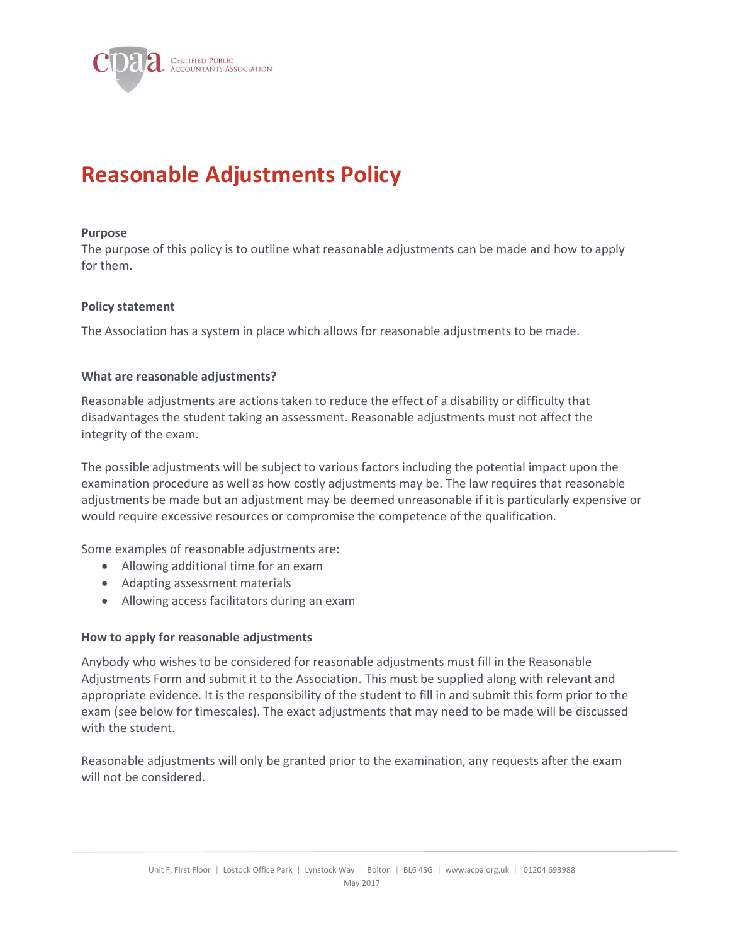

# Reasonable Adjustments Policy

#### Purpose

The purpose of this policy is to outline what reasonable adjustments can be made and how to apply for them.

#### Policy statement

The Association has a system in place which allows for reasonable adjustments to be made.

#### What are reasonable adjustments?

Reasonable adjustments are actions taken to reduce the effect of a disability or difficulty that disadvantages the student taking an assessment. Reasonable adjustments must not affect the integrity of the exam.

The possible adjustments will be subject to various factors including the potential impact upon the examination procedure as well as how costly adjustments may be. The law requires that reasonable adjustments be made but an adjustment may be deemed unreasonable if it is particularly expensive or would require excessive resources or compromise the competence of the qualification.

Some examples of reasonable adjustments are:

- Allowing additional time for an exam
- Adapting assessment materials
- Allowing access facilitators during an exam

#### How to apply for reasonable adjustments

Anybody who wishes to be considered for reasonable adjustments must fill in the Reasonable Adjustments Form and submit it to the Association. This must be supplied along with relevant and appropriate evidence. It is the responsibility of the student to fill in and submit this form prior to the exam (see below for timescales). The exact adjustments that may need to be made will be discussed with the student.

Reasonable adjustments will only be granted prior to the examination, any requests after the exam will not be considered.